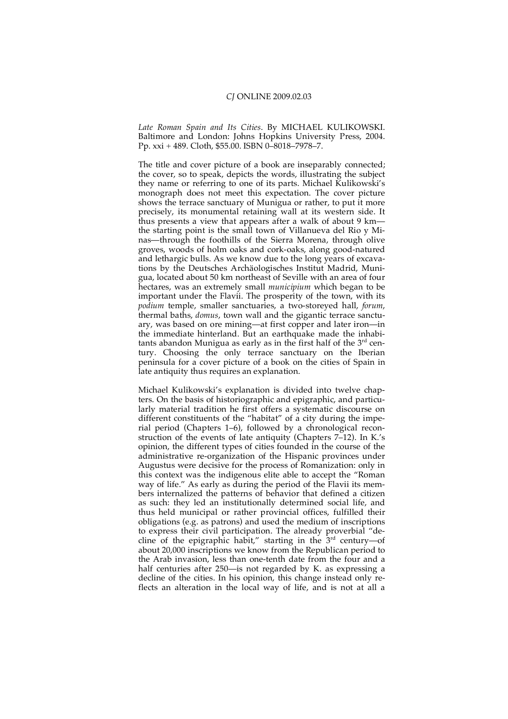*Late Roman Spain and Its Cities*. By MICHAEL KULIKOWSKI. Baltimore and London: Johns Hopkins University Press, 2004. Pp. xxi + 489. Cloth, \$55.00. ISBN 0–8018–7978–7.

The title and cover picture of a book are inseparably connected; the cover, so to speak, depicts the words, illustrating the subject they name or referring to one of its parts. Michael Kulikowski's monograph does not meet this expectation. The cover picture shows the terrace sanctuary of Munigua or rather, to put it more precisely, its monumental retaining wall at its western side. It thus presents a view that appears after a walk of about 9 km the starting point is the small town of Villanueva del Rio y Minas—through the foothills of the Sierra Morena, through olive groves, woods of holm oaks and cork-oaks, along good-natured and lethargic bulls. As we know due to the long years of excavations by the Deutsches Archäologisches Institut Madrid, Munigua, located about 50 km northeast of Seville with an area of four hectares, was an extremely small *municipium* which began to be important under the Flavii. The prosperity of the town, with its *podium* temple, smaller sanctuaries, a two-storeyed hall, *forum*, thermal baths, *domus*, town wall and the gigantic terrace sanctuary, was based on ore mining—at first copper and later iron—in the immediate hinterland. But an earthquake made the inhabitants abandon Munigua as early as in the first half of the  $3<sup>rd</sup>$  century. Choosing the only terrace sanctuary on the Iberian peninsula for a cover picture of a book on the cities of Spain in late antiquity thus requires an explanation.

Michael Kulikowski's explanation is divided into twelve chapters. On the basis of historiographic and epigraphic, and particularly material tradition he first offers a systematic discourse on different constituents of the "habitat" of a city during the imperial period (Chapters 1–6), followed by a chronological reconstruction of the events of late antiquity (Chapters 7–12). In K.'s opinion, the different types of cities founded in the course of the administrative re-organization of the Hispanic provinces under Augustus were decisive for the process of Romanization: only in this context was the indigenous elite able to accept the "Roman way of life." As early as during the period of the Flavii its members internalized the patterns of behavior that defined a citizen as such: they led an institutionally determined social life, and thus held municipal or rather provincial offices, fulfilled their obligations (e.g. as patrons) and used the medium of inscriptions to express their civil participation. The already proverbial "decline of the epigraphic habit," starting in the  $3<sup>rd</sup>$  century—of about 20,000 inscriptions we know from the Republican period to the Arab invasion, less than one-tenth date from the four and a half centuries after 250—is not regarded by K. as expressing a decline of the cities. In his opinion, this change instead only reflects an alteration in the local way of life, and is not at all a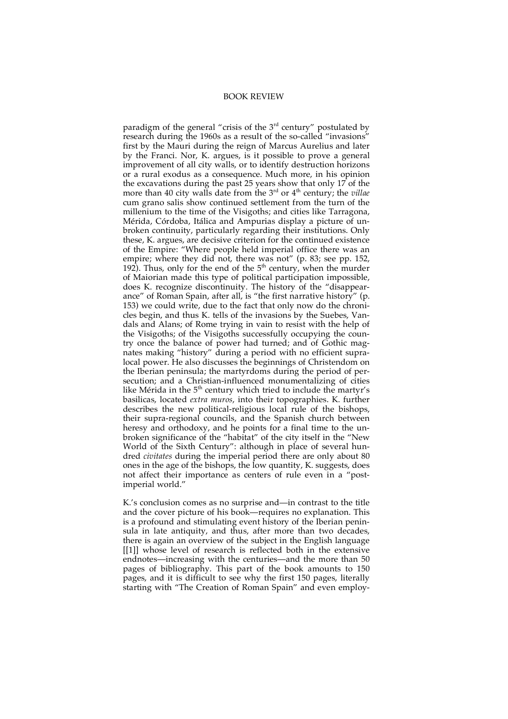## BOOK REVIEW

paradigm of the general "crisis of the  $3<sup>rd</sup>$  century" postulated by research during the 1960s as a result of the so-called "invasions" first by the Mauri during the reign of Marcus Aurelius and later by the Franci. Nor, K. argues, is it possible to prove a general improvement of all city walls, or to identify destruction horizons or a rural exodus as a consequence. Much more, in his opinion the excavations during the past 25 years show that only 17 of the more than 40 city walls date from the 3<sup>rd</sup> or 4<sup>th</sup> century; the *villae* cum grano salis show continued settlement from the turn of the millenium to the time of the Visigoths; and cities like Tarragona, Mérida, Córdoba, Itálica and Ampurias display a picture of unbroken continuity, particularly regarding their institutions. Only these, K. argues, are decisive criterion for the continued existence of the Empire: "Where people held imperial office there was an empire; where they did not, there was not" (p. 83; see pp. 152, 192). Thus, only for the end of the  $5<sup>th</sup>$  century, when the murder of Maiorian made this type of political participation impossible, does K. recognize discontinuity. The history of the "disappearance" of Roman Spain, after all, is "the first narrative history" (p. 153) we could write, due to the fact that only now do the chronicles begin, and thus K. tells of the invasions by the Suebes, Vandals and Alans; of Rome trying in vain to resist with the help of the Visigoths; of the Visigoths successfully occupying the country once the balance of power had turned; and of Gothic magnates making "history" during a period with no efficient supralocal power. He also discusses the beginnings of Christendom on the Iberian peninsula; the martyrdoms during the period of persecution; and a Christian-influenced monumentalizing of cities like Mérida in the 5<sup>th</sup> century which tried to include the martyr's basilicas, located *extra muros*, into their topographies. K. further describes the new political-religious local rule of the bishops, their supra-regional councils, and the Spanish church between heresy and orthodoxy, and he points for a final time to the unbroken significance of the "habitat" of the city itself in the "New World of the Sixth Century": although in place of several hundred *civitates* during the imperial period there are only about 80 ones in the age of the bishops, the low quantity, K. suggests, does not affect their importance as centers of rule even in a "postimperial world."

K.'s conclusion comes as no surprise and—in contrast to the title and the cover picture of his book—requires no explanation. This is a profound and stimulating event history of the Iberian peninsula in late antiquity, and thus, after more than two decades, there is again an overview of the subject in the English language [[1]] whose level of research is reflected both in the extensive endnotes—increasing with the centuries—and the more than 50 pages of bibliography. This part of the book amounts to 150 pages, and it is difficult to see why the first 150 pages, literally starting with "The Creation of Roman Spain" and even employ-